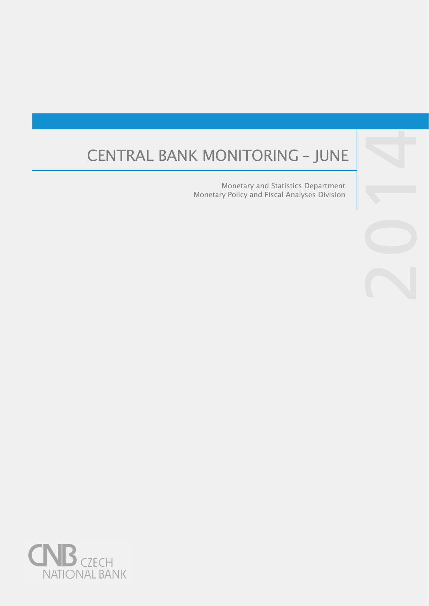# CENTRAL BANK MONITORING – JUNE

Monetary and Statistics Department Monetary Policy and Fiscal Analyses Division



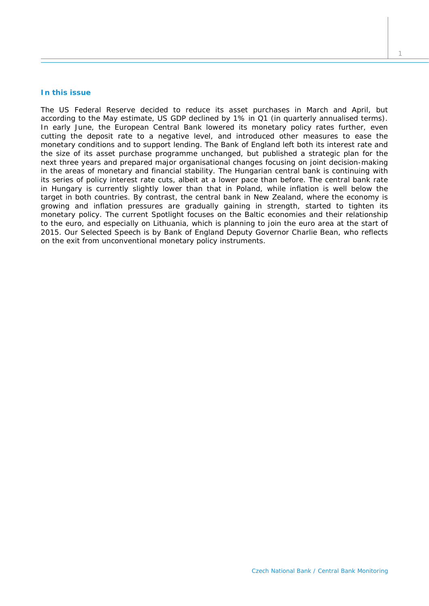## **In this issue**

*The US Federal Reserve decided to reduce its asset purchases in March and April, but according to the May estimate, US GDP declined by 1% in Q1 (in quarterly annualised terms). In early June, the European Central Bank lowered its monetary policy rates further, even cutting the deposit rate to a negative level, and introduced other measures to ease the monetary conditions and to support lending. The Bank of England left both its interest rate and the size of its asset purchase programme unchanged, but published a strategic plan for the next three years and prepared major organisational changes focusing on joint decision-making in the areas of monetary and financial stability. The Hungarian central bank is continuing with its* series of policy interest rate cuts, albeit at a lower pace than before. The central bank rate in Hungary is currently slightly lower than that in Poland, while inflation is well below the *target in both countries. By contrast, the central bank in New Zealand, where the economy is growing and inflation pressures are gradually gaining in strength, started to tighten its monetary policy. The current* Spotlight *focuses on the Baltic economies and their relationship to the euro, and especially on Lithuania, which is planning to join the euro area at the start of 2015. Our* Selected Speech *is by Bank of England Deputy Governor Charlie Bean, who reflects on the exit from unconventional monetary policy instruments.*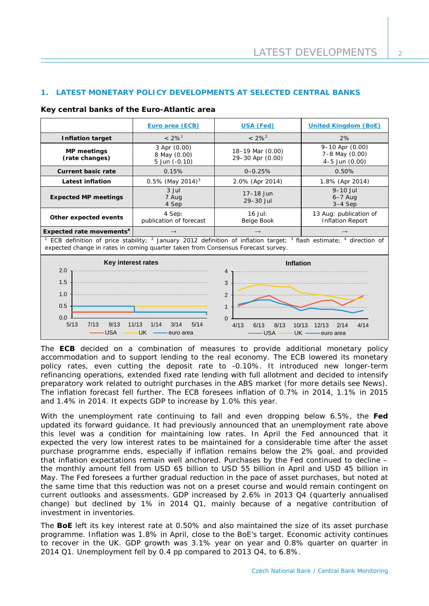# **1. LATEST MONETARY POLICY DEVELOPMENTS AT SELECTED CENTRAL BANKS**

|                                                                                                                                                                                                                          | Euro area (ECB)                                  | <b>USA (Fed)</b>                                            | <b>United Kingdom (BoE)</b>                         |  |
|--------------------------------------------------------------------------------------------------------------------------------------------------------------------------------------------------------------------------|--------------------------------------------------|-------------------------------------------------------------|-----------------------------------------------------|--|
| <b>Inflation target</b>                                                                                                                                                                                                  | $< 2\%$ <sup>1</sup>                             | $< 2\%^{2}$                                                 | 2%                                                  |  |
| <b>MP</b> meetings<br>(rate changes)                                                                                                                                                                                     | 3 Apr (0.00)<br>8 May (0.00)<br>5 Jun (-0.10)    | 18-19 Mar (0.00)<br>29-30 Apr (0.00)                        | 9-10 Apr (0.00)<br>7-8 May (0.00)<br>4-5 Jun (0.00) |  |
| <b>Current basic rate</b>                                                                                                                                                                                                | 0.15%<br>$0 - 0.25%$                             |                                                             | 0.50%                                               |  |
| <b>Latest inflation</b>                                                                                                                                                                                                  | $0.5\%$ (May 2014) <sup>3</sup>                  | 2.0% (Apr 2014)                                             | 1.8% (Apr 2014)                                     |  |
| <b>Expected MP meetings</b>                                                                                                                                                                                              | 3 Jul<br>7 Aug<br>4 Sep                          | 17-18 Jun<br>29-30 Jul                                      | $9-10$ Jul<br>$6-7$ Aug<br>$3-4$ Sep                |  |
| Other expected events                                                                                                                                                                                                    | 4 Sep:<br>publication of forecast                | $16$ Jul:<br>Beige Book                                     | 13 Aug: publication of<br><b>Inflation Report</b>   |  |
| Expected rate movements <sup>4</sup>                                                                                                                                                                                     |                                                  | $\rightarrow$                                               |                                                     |  |
| ECB definition of price stability; <sup>2</sup> January 2012 definition of inflation target;<br>$3$ flash estimate; $4$ direction of<br>expected change in rates in coming quarter taken from Consensus Forecast survey. |                                                  |                                                             |                                                     |  |
| Key interest rates<br>2.0<br>1.5<br>1.0<br>0.5<br>0.0                                                                                                                                                                    |                                                  | <b>Inflation</b><br>4<br>3<br>2<br>$\mathbf{1}$<br>$\Omega$ |                                                     |  |
| 5/13<br>7/13<br>9/13<br><b>USA</b>                                                                                                                                                                                       | 11/13<br>1/14<br>3/14<br>5/14<br>UK<br>euro area | 4/13<br>6/13<br>8/13<br>10/13<br><b>USA</b><br>UK -         | 4/14<br>12/13<br>2/14<br>euro area                  |  |

The **ECB** decided on a combination of measures to provide additional monetary policy accommodation and to support lending to the real economy. The ECB lowered its monetary policy rates, even cutting the deposit rate to -0.10%. It introduced new longer-term refinancing operations, extended fixed rate lending with full allotment and decided to intensify preparatory work related to outright purchases in the ABS market (for more details see *News*). The inflation forecast fell further. The ECB foresees inflation of 0.7% in 2014, 1.1% in 2015 and 1.4% in 2014. It expects GDP to increase by 1.0% this year.

With the unemployment rate continuing to fall and even dropping below 6.5%, the **Fed** updated its forward guidance. It had previously announced that an unemployment rate above this level was a condition for maintaining low rates. In April the Fed announced that it expected the very low interest rates to be maintained for a considerable time after the asset purchase programme ends, especially if inflation remains below the 2% goal, and provided that inflation expectations remain well anchored. Purchases by the Fed continued to decline – the monthly amount fell from USD 65 billion to USD 55 billion in April and USD 45 billion in May. The Fed foresees a further gradual reduction in the pace of asset purchases, but noted at the same time that this reduction was not on a preset course and would remain contingent on current outlooks and assessments. GDP increased by 2.6% in 2013 Q4 (quarterly annualised change) but declined by 1% in 2014 Q1, mainly because of a negative contribution of investment in inventories.

The **BoE** left its key interest rate at 0.50% and also maintained the size of its asset purchase programme. Inflation was 1.8% in April, close to the BoE's target. Economic activity continues to recover in the UK. GDP growth was 3.1% year on year and 0.8% quarter on quarter in 2014 Q1. Unemployment fell by 0.4 pp compared to 2013 Q4, to 6.8%.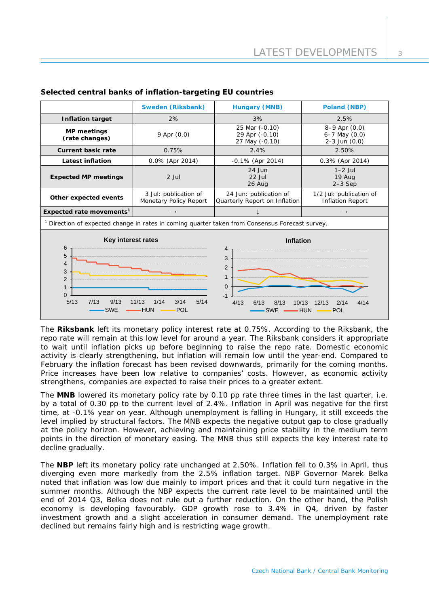|                                                                                                                                                                                                                                                                                                                                                                                             | <b>Sweden (Riksbank)</b>                        | Poland (NBP)                                            |                                                           |  |
|---------------------------------------------------------------------------------------------------------------------------------------------------------------------------------------------------------------------------------------------------------------------------------------------------------------------------------------------------------------------------------------------|-------------------------------------------------|---------------------------------------------------------|-----------------------------------------------------------|--|
| <b>Inflation target</b>                                                                                                                                                                                                                                                                                                                                                                     | 2%                                              | 3%                                                      | 2.5%                                                      |  |
| <b>MP</b> meetings<br>(rate changes)                                                                                                                                                                                                                                                                                                                                                        | $9$ Apr $(0.0)$                                 | 25 Mar (-0.10)<br>29 Apr (-0.10)<br>27 May (-0.10)      | $8-9$ Apr $(0.0)$<br>$6 - 7$ May $(0.0)$<br>2-3 Jun (0.0) |  |
| <b>Current basic rate</b>                                                                                                                                                                                                                                                                                                                                                                   | 0.75%                                           | 2.4%                                                    |                                                           |  |
| <b>Latest inflation</b>                                                                                                                                                                                                                                                                                                                                                                     | 0.0% (Apr 2014)                                 | $-0.1\%$ (Apr 2014)                                     | 0.3% (Apr 2014)                                           |  |
| <b>Expected MP meetings</b>                                                                                                                                                                                                                                                                                                                                                                 | $2$ Jul                                         | $24$ Jun<br>$22$ Jul<br>26 Aug                          | $1-2$ Jul<br>19 Aug<br>$2-3$ Sep                          |  |
| Other expected events                                                                                                                                                                                                                                                                                                                                                                       | 3 Jul: publication of<br>Monetary Policy Report | 24 Jun: publication of<br>Quarterly Report on Inflation | 1/2 Jul: publication of<br><b>Inflation Report</b>        |  |
| Expected rate movements <sup>1</sup>                                                                                                                                                                                                                                                                                                                                                        | $\rightarrow$                                   |                                                         | $\rightarrow$                                             |  |
| <sup>1</sup> Direction of expected change in rates in coming quarter taken from Consensus Forecast survey.                                                                                                                                                                                                                                                                                  |                                                 |                                                         |                                                           |  |
| Key interest rates<br><b>Inflation</b><br>6<br>4<br>5<br>3<br>$\overline{4}$<br>$\overline{2}$<br>3<br>$\mathbf{1}$<br>$\overline{2}$<br>$\overline{0}$<br>$\mathbf{1}$<br>$\Omega$<br>$-1$<br>5/13<br>3/14<br>7/13<br>9/13<br>1/14<br>5/14<br>11/13<br>4/13<br>8/13<br>6/13<br>10/13<br>12/13<br>2/14<br>4/14<br><b>SWE</b><br><b>POL</b><br><b>HUN</b><br><b>SWE</b><br><b>HUN</b><br>POL |                                                 |                                                         |                                                           |  |

# **Selected central banks of inflation-targeting EU countries**

The **Riksbank** left its monetary policy interest rate at 0.75%. According to the Riksbank, the repo rate will remain at this low level for around a year. The Riksbank considers it appropriate to wait until inflation picks up before beginning to raise the repo rate. Domestic economic activity is clearly strengthening, but inflation will remain low until the year-end. Compared to February the inflation forecast has been revised downwards, primarily for the coming months. Price increases have been low relative to companies' costs. However, as economic activity strengthens, companies are expected to raise their prices to a greater extent.

The **MNB** lowered its monetary policy rate by 0.10 pp rate three times in the last quarter, i.e. by a total of 0.30 pp to the current level of 2.4%. Inflation in April was negative for the first time, at -0.1% year on year. Although unemployment is falling in Hungary, it still exceeds the level implied by structural factors. The MNB expects the negative output gap to close gradually at the policy horizon. However, achieving and maintaining price stability in the medium term points in the direction of monetary easing. The MNB thus still expects the key interest rate to decline gradually.

The **NBP** left its monetary policy rate unchanged at 2.50%. Inflation fell to 0.3% in April, thus diverging even more markedly from the 2.5% inflation target. NBP Governor Marek Belka noted that inflation was low due mainly to import prices and that it could turn negative in the summer months. Although the NBP expects the current rate level to be maintained until the end of 2014 Q3, Belka does not rule out a further reduction. On the other hand, the Polish economy is developing favourably. GDP growth rose to 3.4% in Q4, driven by faster investment growth and a slight acceleration in consumer demand. The unemployment rate declined but remains fairly high and is restricting wage growth.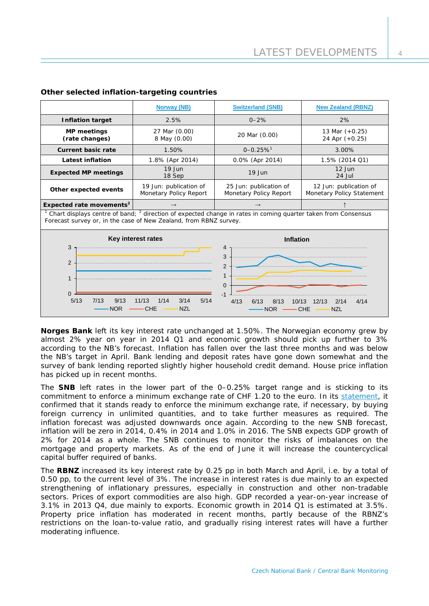|                                                                                                                                                                                                                                                                                                   | <b>Norway (NB)</b>                               | <b>Switzerland (SNB)</b>                         | <b>New Zealand (RBNZ)</b>                           |  |  |
|---------------------------------------------------------------------------------------------------------------------------------------------------------------------------------------------------------------------------------------------------------------------------------------------------|--------------------------------------------------|--------------------------------------------------|-----------------------------------------------------|--|--|
| <b>Inflation target</b>                                                                                                                                                                                                                                                                           | 2.5%                                             | $0 - 2%$                                         | 2%                                                  |  |  |
| <b>MP</b> meetings<br>(rate changes)                                                                                                                                                                                                                                                              | 27 Mar (0.00)<br>8 May (0.00)                    | 20 Mar (0.00)                                    | 13 Mar $(+0.25)$<br>24 Apr (+0.25)                  |  |  |
| <b>Current basic rate</b>                                                                                                                                                                                                                                                                         | 1.50%                                            | $0 - 0.25%$ <sup>1</sup>                         | 3.00%                                               |  |  |
| <b>Latest inflation</b>                                                                                                                                                                                                                                                                           | 1.8% (Apr 2014)                                  | 0.0% (Apr 2014)                                  | 1.5% (2014 Q1)                                      |  |  |
| <b>Expected MP meetings</b>                                                                                                                                                                                                                                                                       | $19$ Jun<br>18 Sep                               | 19 Jun                                           | $12$ Jun<br>24 Jul                                  |  |  |
| Other expected events                                                                                                                                                                                                                                                                             | 19 Jun: publication of<br>Monetary Policy Report | 25 Jun: publication of<br>Monetary Policy Report | 12 Jun: publication of<br>Monetary Policy Statement |  |  |
| Expected rate movements <sup>2</sup>                                                                                                                                                                                                                                                              |                                                  |                                                  |                                                     |  |  |
| Chart displays centre of band; <sup>2</sup> direction of expected change in rates in coming quarter taken from Consensus<br>Forecast survey or, in the case of New Zealand, from RBNZ survey.                                                                                                     |                                                  |                                                  |                                                     |  |  |
|                                                                                                                                                                                                                                                                                                   | Key interest rates                               | <b>Inflation</b>                                 |                                                     |  |  |
| 3<br>4<br>3<br>2<br>$\overline{2}$<br>$\mathbf{1}$<br>1<br>$\mathbf 0$<br>$\Omega$<br>$-1$<br>5/13<br>5/14<br>7/13<br>9/13<br>11/13<br>1/14<br>3/14<br>4/13<br>6/13<br>8/13<br>4/14<br>10/13<br>12/13<br>2/14<br><b>NOR</b><br><b>CHE</b><br><b>NZL</b><br><b>CHE</b><br><b>NZL</b><br><b>NOR</b> |                                                  |                                                  |                                                     |  |  |

## **Other selected inflation-targeting countries**

**Norges Bank** left its key interest rate unchanged at 1.50%. The Norwegian economy grew by almost 2% year on year in 2014 Q1 and economic growth should pick up further to 3% according to the NB's forecast. Inflation has fallen over the last three months and was below the NB's target in April. Bank lending and deposit rates have gone down somewhat and the survey of bank lending reported slightly higher household credit demand. House price inflation has picked up in recent months.

The **SNB** left rates in the lower part of the 0–0.25% target range and is sticking to its commitment to enforce a minimum exchange rate of CHF 1.20 to the euro. In its [statement,](http://www.snb.ch/en/mmr/reference/pre_20140320/source/pre_20140320.en.pdf) it confirmed that it stands ready to enforce the minimum exchange rate, if necessary, by buying foreign currency in unlimited quantities, and to take further measures as required. The inflation forecast was adjusted downwards once again. According to the new SNB forecast, inflation will be zero in 2014, 0.4% in 2014 and 1.0% in 2016. The SNB expects GDP growth of 2% for 2014 as a whole. The SNB continues to monitor the risks of imbalances on the mortgage and property markets. As of the end of June it will increase the countercyclical capital buffer required of banks.

The **RBNZ** increased its key interest rate by 0.25 pp in both March and April, i.e. by a total of 0.50 pp, to the current level of 3%. The increase in interest rates is due mainly to an expected strengthening of inflationary pressures, especially in construction and other non-tradable sectors. Prices of export commodities are also high. GDP recorded a year-on-year increase of 3.1% in 2013 Q4, due mainly to exports. Economic growth in 2014 Q1 is estimated at 3.5%. Property price inflation has moderated in recent months, partly because of the RBNZ's restrictions on the loan-to-value ratio, and gradually rising interest rates will have a further moderating influence.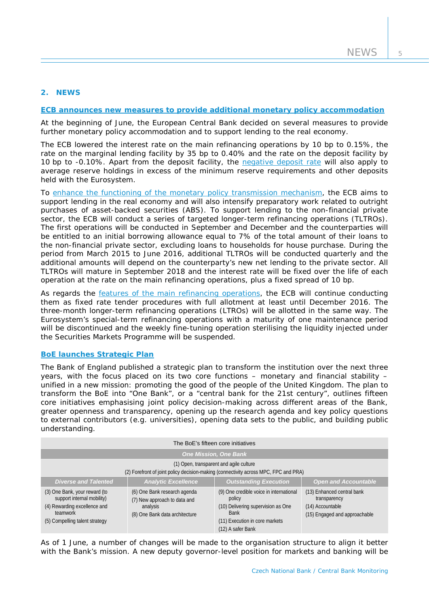# **2. NEWS**

#### **[ECB announces new measures to provide additional monetary policy accommodation](http://www.ecb.europa.eu/press/pressconf/2014/html/is140605.en.html)**

At the beginning of June, the European Central Bank decided on several measures to provide further monetary policy accommodation and to support lending to the real economy.

The ECB lowered the interest rate on the main refinancing operations by 10 bp to 0.15%, the rate on the marginal lending facility by 35 bp to 0.40% and the rate on the deposit facility by 10 bp to -0.10%. Apart from the deposit facility, the [negative deposit rate](http://www.ecb.europa.eu/press/pr/date/2014/html/pr140605_3.en.html) will also apply to average reserve holdings in excess of the minimum reserve requirements and other deposits held with the Eurosystem.

To [enhance the functioning of the monetary policy transmission mechanism,](http://www.ecb.europa.eu/press/pr/date/2014/html/pr140605_2.en.html) the ECB aims to support lending in the real economy and will also intensify preparatory work related to outright purchases of asset-backed securities (ABS). To support lending to the non-financial private sector, the ECB will conduct a series of targeted longer-term refinancing operations (TLTROs). The first operations will be conducted in September and December and the counterparties will be entitled to an initial borrowing allowance equal to 7% of the total amount of their loans to the non-financial private sector, excluding loans to households for house purchase. During the period from March 2015 to June 2016, additional TLTROs will be conducted quarterly and the additional amounts will depend on the counterparty's new net lending to the private sector. All TLTROs will mature in September 2018 and the interest rate will be fixed over the life of each operation at the rate on the main refinancing operations, plus a fixed spread of 10 bp.

As regards the [features of the main refinancing operations,](http://www.ecb.europa.eu/press/pr/date/2014/html/pr140605_1.en.html) the ECB will continue conducting them as fixed rate tender procedures with full allotment at least until December 2016. The three-month longer-term refinancing operations (LTROs) will be allotted in the same way. The Eurosystem's special-term refinancing operations with a maturity of one maintenance period will be discontinued and the weekly fine-tuning operation sterilising the liquidity injected under the Securities Markets Programme will be suspended.

# **[BoE launches Strategic Plan](http://www.bankofengland.co.uk/publications/Pages/news/2014/058.aspx)**

The Bank of England published a strategic plan to transform the institution over the next three years, with the focus placed on its two core functions – monetary and financial stability – unified in a new mission: promoting the good of the people of the United Kingdom. The plan to transform the BoE into "One Bank", or a "central bank for the 21st century", outlines fifteen core initiatives emphasising joint policy decision-making across different areas of the Bank, greater openness and transparency, opening up the research agenda and key policy questions to external contributors (e.g. universities), opening data sets to the public, and building public understanding.

| The BoE's fifteen core initiatives                                                                                                        |                                                                                                            |                                                                                                                                                               |                                                                                                 |  |  |
|-------------------------------------------------------------------------------------------------------------------------------------------|------------------------------------------------------------------------------------------------------------|---------------------------------------------------------------------------------------------------------------------------------------------------------------|-------------------------------------------------------------------------------------------------|--|--|
| <b>One Mission, One Bank</b>                                                                                                              |                                                                                                            |                                                                                                                                                               |                                                                                                 |  |  |
| (1) Open, transparent and agile culture<br>(2) Forefront of joint policy decision-making (connectivity across MPC, FPC and PRA)           |                                                                                                            |                                                                                                                                                               |                                                                                                 |  |  |
| <b>Diverse and Talented</b>                                                                                                               | <b>Analytic Excellence</b>                                                                                 | <b>Outstanding Execution</b>                                                                                                                                  | <b>Open and Accountable</b>                                                                     |  |  |
| (3) One Bank, your reward (to<br>support internal mobility)<br>(4) Rewarding excellence and<br>teamwork<br>(5) Compelling talent strategy | (6) One Bank research agenda<br>(7) New approach to data and<br>analysis<br>(8) One Bank data architecture | (9) One credible voice in international<br>policy<br>(10) Delivering supervision as One<br><b>Bank</b><br>(11) Execution in core markets<br>(12) A safer Bank | (13) Enhanced central bank<br>transparency<br>(14) Accountable<br>(15) Engaged and approachable |  |  |

As of 1 June, a number of changes will be made to the organisation structure to align it better with the Bank's mission. A new deputy governor-level position for markets and banking will be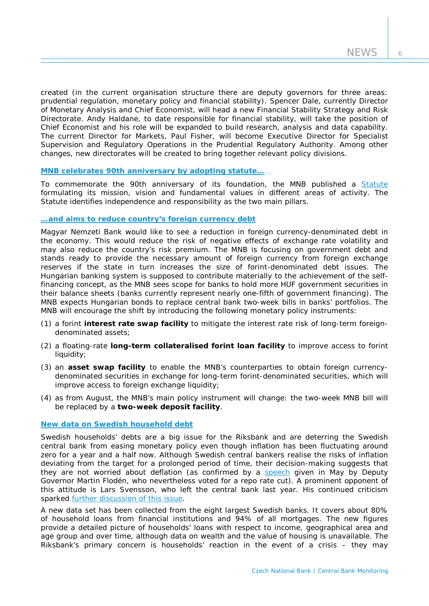created (in the current organisation structure there are deputy governors for three areas: prudential regulation, monetary policy and financial stability). Spencer Dale, currently Director of Monetary Analysis and Chief Economist, will head a new Financial Stability Strategy and Risk Directorate. Andy Haldane, to date responsible for financial stability, will take the position of Chief Economist and his role will be expanded to build research, analysis and data capability. The current Director for Markets, Paul Fisher, will become Executive Director for Specialist Supervision and Regulatory Operations in the Prudential Regulatory Authority. Among other changes, new directorates will be created to bring together relevant policy divisions.

#### **[MNB celebrates 90th anniversary](http://english.mnb.hu/mnben_pressroom/press_releases/mnben_pressreleases_2014/mnben_pressrelease_20140515) by adopting statute…**

To commemorate the 90th anniversary of its foundation, the MNB published a [Statute](http://english.mnb.hu/Root/Dokumentumtar/ENMNB/Sajtoszoba/mnben_sajtokozlemenyek/The_Statute_of_the_Magyar_Nemzeti_Bank.pdf) formulating its mission, vision and fundamental values in different areas of activity. The Statute identifies independence and responsibility as the two main pillars.

## **[…and aims to reduce country's foreign currency debt](http://english.mnb.hu/mnben_pressroom/press_releases/mnben_pressreleases_2014/mnben_pressrelease_20140424)**

Magyar Nemzeti Bank would like to see a reduction in foreign currency-denominated debt in the economy. This would reduce the risk of negative effects of exchange rate volatility and may also reduce the country's risk premium. The MNB is focusing on government debt and stands ready to provide the necessary amount of foreign currency from foreign exchange reserves if the state in turn increases the size of forint-denominated debt issues. The Hungarian banking system is supposed to contribute materially to the achievement of the selffinancing concept, as the MNB sees scope for banks to hold more HUF government securities in their balance sheets (banks currently represent nearly one-fifth of government financing). The MNB expects Hungarian bonds to replace central bank two-week bills in banks' portfolios. The MNB will encourage the shift by introducing the following monetary policy instruments:

- (1) a forint **interest rate swap facility** to mitigate the interest rate risk of long-term foreigndenominated assets;
- (2) a floating-rate **long-term collateralised forint loan facility** to improve access to forint liquidity;
- (3) an **asset swap facility** to enable the MNB's counterparties to obtain foreign currencydenominated securities in exchange for long-term forint-denominated securities, which will improve access to foreign exchange liquidity;
- (4) as from August, the MNB's main policy instrument will change: the two-week MNB bill will be replaced by a **two-week deposit facility**.

#### **[New data on Swedish household debt](http://www.riksbank.se/Documents/Rapporter/Ekonomiska_kommentarer/2014/rap_ek_kom_nr01_140507_eng.pdf)**

Swedish households' debts are a big issue for the Riksbank and are deterring the Swedish central bank from easing monetary policy even though inflation has been fluctuating around zero for a year and a half now. Although Swedish central bankers realise the risks of inflation deviating from the target for a prolonged period of time, their decision-making suggests that they are not worried about deflation (as confirmed by a [speech](http://www.riksbank.se/en/Press-and-published/Speeches/2014/Floden-The-low-rate-of-inflation--should-we-be-worried-and-can-we-do-anything-about-it/) given in May by Deputy Governor Martin Flodén, who nevertheless voted for a repo rate cut). A prominent opponent of this attitude is Lars Svensson, who left the central bank last year. His continued criticism sparked [further discussion of](http://www.riksbank.se/en/Press-and-published/Notices/2014/Per-Jansson-and-others-respond-to-Svenssons-criticism-/) this issue.

A new data set has been collected from the eight largest Swedish banks. It covers about 80% of household loans from financial institutions and 94% of all mortgages. The new figures provide a detailed picture of households' loans with respect to income, geographical area and age group and over time, although data on wealth and the value of housing is unavailable. The Riksbank's primary concern is households' reaction in the event of a crisis – they may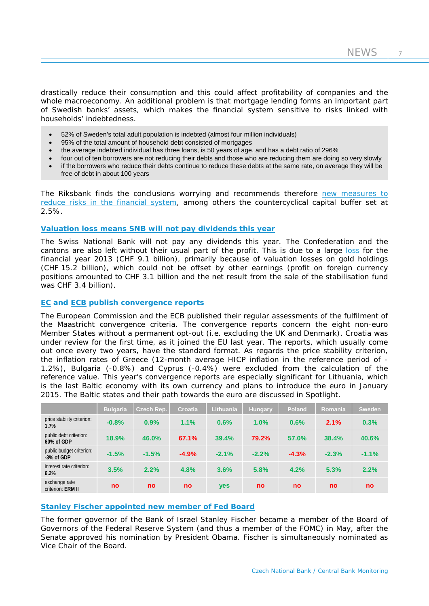drastically reduce their consumption and this could affect profitability of companies and the whole macroeconomy. An additional problem is that mortgage lending forms an important part of Swedish banks' assets, which makes the financial system sensitive to risks linked with households' indebtedness.

- 52% of Sweden's total adult population is indebted (almost four million individuals)
- 95% of the total amount of household debt consisted of mortgages
- the average indebted individual has three loans, is 50 years of age, and has a debt ratio of 296%
- four out of ten borrowers are not reducing their debts and those who are reducing them are doing so very slowly • if the borrowers who reduce their debts continue to reduce these debts at the same rate, on average they will be
- free of debt in about 100 years

The Riksbank finds the conclusions worrying and recommends therefore [new measures to](http://www.riksbank.se/en/Press-and-published/Press-Releases/2014/The-financial-system-is-working-well--but-risks-require-further-measures/)  [reduce risks in the financial system,](http://www.riksbank.se/en/Press-and-published/Press-Releases/2014/The-financial-system-is-working-well--but-risks-require-further-measures/) among others the countercyclical capital buffer set at 2.5%.

## **[Valuation loss means SNB will not pay dividends this year](http://www.snb.ch/en/mmr/speeches/id/ref_20140425_stj)**

The Swiss National Bank will not pay any dividends this year. The Confederation and the cantons are also left without their usual part of the profit. This is due to a large [loss](http://www.snb.ch/en/mmr/reference/pre_20140307/source/pre_20140307.en.pdf) for the financial year 2013 (CHF 9.1 billion), primarily because of valuation losses on gold holdings (CHF 15.2 billion), which could not be offset by other earnings (profit on foreign currency positions amounted to CHF 3.1 billion and the net result from the sale of the stabilisation fund was CHF 3.4 billion).

#### **[EC](http://ec.europa.eu/economy_finance/publications/european_economy/2014/ee4_en.htm) and [ECB](http://www.ecb.europa.eu/press/pr/date/2014/html/pr140604.en.html) publish convergence reports**

The European Commission and the ECB published their regular assessments of the fulfilment of the Maastricht convergence criteria. The convergence reports concern the eight non-euro Member States without a permanent opt-out (i.e. excluding the UK and Denmark). Croatia was under review for the first time, as it joined the EU last year. The reports, which usually come out once every two years, have the standard format. As regards the price stability criterion, the inflation rates of Greece (12-month average HICP inflation in the reference period of - 1.2%), Bulgaria (-0.8%) and Cyprus (-0.4%) were excluded from the calculation of the reference value. This year's convergence reports are especially significant for Lithuania, which is the last Baltic economy with its own currency and plans to introduce the euro in January 2015. The Baltic states and their path towards the euro are discussed in *Spotlight*.

|                                        | <b>Bulgaria</b> | Czech Rep. | <b>Croatia</b> | Lithuania | <b>Hungary</b> | Poland  | Romania   | Sweden  |
|----------------------------------------|-----------------|------------|----------------|-----------|----------------|---------|-----------|---------|
| price stability criterion:<br>1.7%     | $-0.8%$         | 0.9%       | 1.1%           | 0.6%      | 1.0%           | 0.6%    | 2.1%      | 0.3%    |
| public debt criterion:<br>60% of GDP   | 18.9%           | 46.0%      | 67.1%          | 39.4%     | 79.2%          | 57.0%   | 38.4%     | 40.6%   |
| public budget criterion:<br>-3% of GDP | $-1.5%$         | $-1.5%$    | $-4.9%$        | $-2.1%$   | $-2.2%$        | $-4.3%$ | $-2.3%$   | $-1.1%$ |
| interest rate criterion:<br>6.2%       | 3.5%            | 2.2%       | 4.8%           | 3.6%      | 5.8%           | 4.2%    | 5.3%      | 2.2%    |
| exchange rate<br>criterion: ERM II     | no              | <b>no</b>  | <b>no</b>      | yes       | <b>no</b>      | no      | <b>no</b> | no      |

# **Stanley Fischer appointed [new member of Fed Board](http://www.federalreserve.gov/newsevents/press/other/20140528a.htm)**

The former governor of the Bank of Israel Stanley Fischer became a member of the Board of Governors of the Federal Reserve System (and thus a member of the FOMC) in May, after the Senate approved his nomination by President Obama. Fischer is simultaneously nominated as Vice Chair of the Board.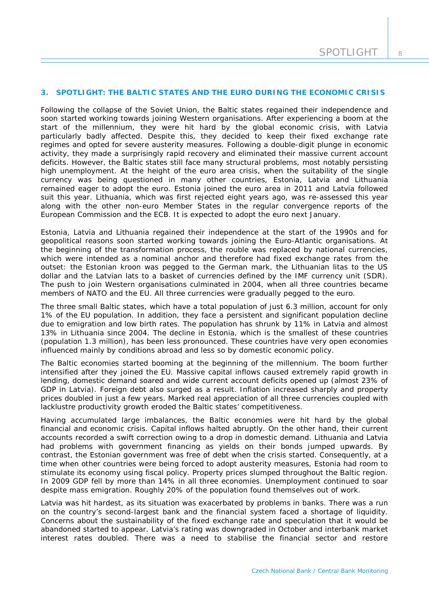## **3. SPOTLIGHT: THE BALTIC STATES AND THE EURO DURING THE ECONOMIC CRISIS**

*Following the collapse of the Soviet Union, the Baltic states regained their independence and soon started working towards joining Western organisations. After experiencing a boom at the start of the millennium, they were hit hard by the global economic crisis, with Latvia particularly badly affected. Despite this, they decided to keep their fixed exchange rate regimes and opted for severe austerity measures. Following a double-digit plunge in economic activity, they made a surprisingly rapid recovery and eliminated their massive current account deficits. However, the Baltic states still face many structural problems, most notably persisting high unemployment. At the height of the euro area crisis, when the suitability of the single currency was being questioned in many other countries, Estonia, Latvia and Lithuania remained eager to adopt the euro. Estonia joined the euro area in 2011 and Latvia followed suit this year. Lithuania, which was first rejected eight years ago, was re-assessed this year along with the other non-euro Member States in the regular convergence reports of the European Commission and the ECB. It is expected to adopt the euro next January.*

Estonia, Latvia and Lithuania regained their independence at the start of the 1990s and for geopolitical reasons soon started working towards joining the Euro-Atlantic organisations. At the beginning of the transformation process, the rouble was replaced by national currencies, which were intended as a nominal anchor and therefore had fixed exchange rates from the outset: the Estonian kroon was pegged to the German mark, the Lithuanian litas to the US dollar and the Latvian lats to a basket of currencies defined by the IMF currency unit (SDR). The push to join Western organisations culminated in 2004, when all three countries became members of NATO and the EU. All three currencies were gradually pegged to the euro.

The three small Baltic states, which have a total population of just 6.3 million, account for only 1% of the EU population. In addition, they face a persistent and significant population decline due to emigration and low birth rates. The population has shrunk by 11% in Latvia and almost 13% in Lithuania since 2004. The decline in Estonia, which is the smallest of these countries (population 1.3 million), has been less pronounced. These countries have very open economies influenced mainly by conditions abroad and less so by domestic economic policy.

The Baltic economies started booming at the beginning of the millennium. The boom further intensified after they joined the EU. Massive capital inflows caused extremely rapid growth in lending, domestic demand soared and wide current account deficits opened up (almost 23% of GDP in Latvia). Foreign debt also surged as a result. Inflation increased sharply and property prices doubled in just a few years. Marked real appreciation of all three currencies coupled with lacklustre productivity growth eroded the Baltic states' competitiveness.

Having accumulated large imbalances, the Baltic economies were hit hard by the global financial and economic crisis. Capital inflows halted abruptly. On the other hand, their current accounts recorded a swift correction owing to a drop in domestic demand. Lithuania and Latvia had problems with government financing as yields on their bonds jumped upwards. By contrast, the Estonian government was free of debt when the crisis started. Consequently, at a time when other countries were being forced to adopt austerity measures, Estonia had room to stimulate its economy using fiscal policy. Property prices slumped throughout the Baltic region. In 2009 GDP fell by more than 14% in all three economies. Unemployment continued to soar despite mass emigration. Roughly 20% of the population found themselves out of work.

Latvia was hit hardest, as its situation was exacerbated by problems in banks. There was a run on the country's second-largest bank and the financial system faced a shortage of liquidity. Concerns about the sustainability of the fixed exchange rate and speculation that it would be abandoned started to appear. Latvia's rating was downgraded in October and interbank market interest rates doubled. There was a need to stabilise the financial sector and restore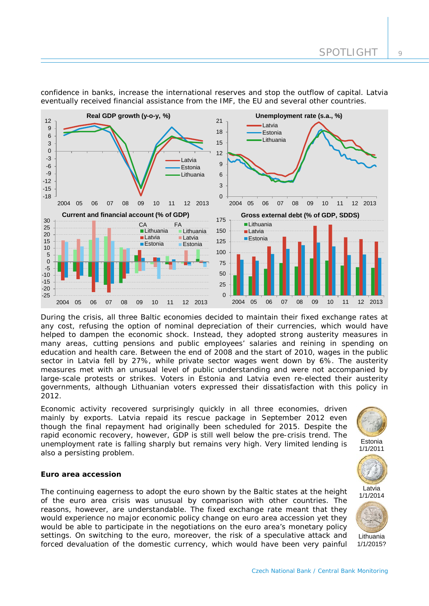

confidence in banks, increase the international reserves and stop the outflow of capital. Latvia eventually received financial assistance from the IMF, the EU and several other countries.

During the crisis, all three Baltic economies decided to maintain their fixed exchange rates at any cost, refusing the option of nominal depreciation of their currencies, which would have helped to dampen the economic shock. Instead, they adopted strong austerity measures in many areas, cutting pensions and public employees' salaries and reining in spending on education and health care. Between the end of 2008 and the start of 2010, wages in the public sector in Latvia fell by 27%, while private sector wages went down by 6%. The austerity measures met with an unusual level of public understanding and were not accompanied by large-scale protests or strikes. Voters in Estonia and Latvia even re-elected their austerity governments, although Lithuanian voters expressed their dissatisfaction with this policy in 2012.

Economic activity recovered surprisingly quickly in all three economies, driven mainly by exports. Latvia repaid its rescue package in September 2012 even though the final repayment had originally been scheduled for 2015. Despite the rapid economic recovery, however, GDP is still well below the pre-crisis trend. The unemployment rate is falling sharply but remains very high. Very limited lending is also a persisting problem.

#### **Euro area accession**

The continuing eagerness to adopt the euro shown by the Baltic states at the height of the euro area crisis was unusual by comparison with other countries. The reasons, however, are understandable. The fixed exchange rate meant that they would experience no major economic policy change on euro area accession yet they would be able to participate in the negotiations on the euro area's monetary policy settings. On switching to the euro, moreover, the risk of a speculative attack and forced devaluation of the domestic currency, which would have been very painful



Lithuania 1/1/2015?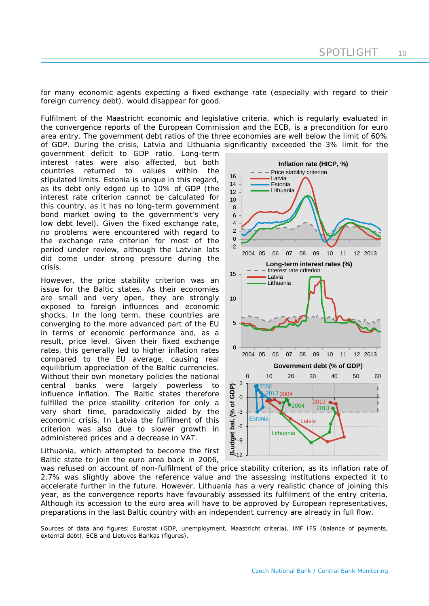for many economic agents expecting a fixed exchange rate (especially with regard to their foreign currency debt), would disappear for good.

Fulfilment of the Maastricht economic and legislative criteria, which is regularly evaluated in the convergence reports of the European Commission and the ECB, is a precondition for euro area entry. The government debt ratios of the three economies are well below the limit of 60% of GDP. During the crisis, Latvia and Lithuania significantly exceeded the 3% limit for the

government deficit to GDP ratio. Long-term interest rates were also affected, but both countries returned to values within the stipulated limits. Estonia is unique in this regard, as its debt only edged up to 10% of GDP (the interest rate criterion cannot be calculated for this country, as it has no long-term government bond market owing to the government's very low debt level). Given the fixed exchange rate, no problems were encountered with regard to the exchange rate criterion for most of the period under review, although the Latvian lats did come under strong pressure during the crisis.

However, the price stability criterion was an issue for the Baltic states. As their economies are small and very open, they are strongly exposed to foreign influences and economic shocks. In the long term, these countries are converging to the more advanced part of the EU in terms of economic performance and, as a result, price level. Given their fixed exchange rates, this generally led to higher inflation rates compared to the EU average, causing real equilibrium appreciation of the Baltic currencies. Without their own monetary policies the national central banks were largely powerless to influence inflation. The Baltic states therefore fulfilled the price stability criterion for only a very short time, paradoxically aided by the economic crisis. In Latvia the fulfilment of this criterion was also due to slower growth in administered prices and a decrease in VAT.

Lithuania, which attempted to become the first Baltic state to join the euro area back in 2006,



was refused on account of non-fulfilment of the price stability criterion, as its inflation rate of 2.7% was slightly above the reference value and the assessing institutions expected it to accelerate further in the future. However, Lithuania has a very realistic chance of joining this year, as the convergence reports have favourably assessed its fulfilment of the entry criteria. Although its accession to the euro area will have to be approved by European representatives, preparations in the last Baltic country with an independent currency are already in full flow.

*Sources of data and figures: Eurostat (GDP, unemployment, Maastricht criteria), IMF IFS (balance of payments, external debt), ECB and Lietuvos Bankas (figures).*